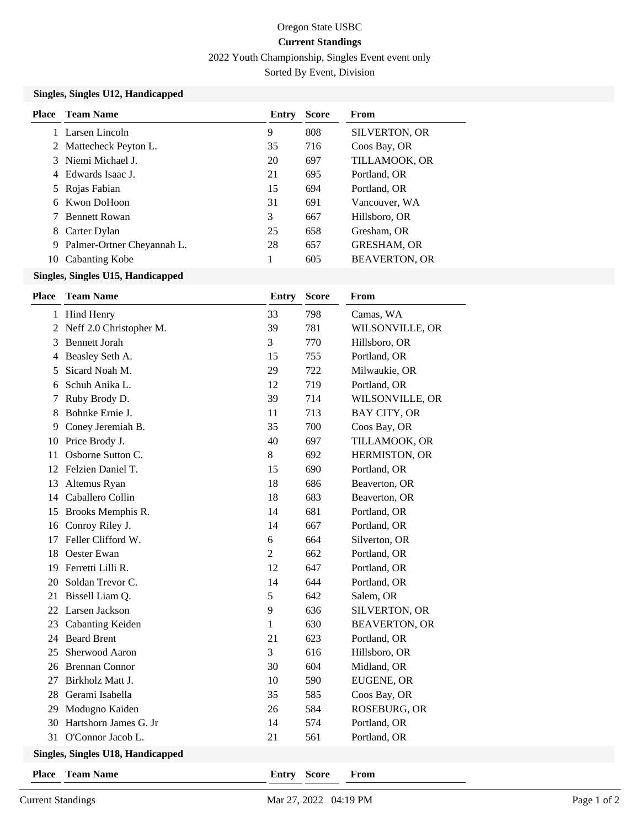# Oregon State USBC **Current Standings**

2022 Youth Championship, Singles Event event only

Sorted By Event, Division

### **Singles, Singles U12, Handicapped**

| Place | <b>Team Name</b>             | Entry | <b>Score</b> | From                 |
|-------|------------------------------|-------|--------------|----------------------|
|       | Larsen Lincoln               | 9     | 808          | <b>SILVERTON, OR</b> |
|       | 2 Mattecheck Peyton L.       | 35    | 716          | Coos Bay, OR         |
|       | 3 Niemi Michael J.           | 20    | 697          | TILLAMOOK, OR        |
|       | - Edwards Isaac J            | 21    | 695          | Portland, OR         |
|       | 5 Rojas Fabian               | 15    | 694          | Portland, OR         |
| 6     | Kwon DoHoon                  | 31    | 691          | Vancouver, WA        |
|       | <b>Bennett Rowan</b>         | 3     | 667          | Hillsboro, OR        |
| 8     | Carter Dylan                 | 25    | 658          | Gresham, OR          |
|       | 9 Palmer-Ortner Cheyannah L. | 28    | 657          | <b>GRESHAM, OR</b>   |
| 10    | Cabanting Kobe               |       | 605          | <b>BEAVERTON, OR</b> |

# **Singles, Singles U15, Handicapped**

| Place                            | <b>Team Name</b>        | <b>Entry</b>   | <b>Score</b> | From                 |  |  |
|----------------------------------|-------------------------|----------------|--------------|----------------------|--|--|
|                                  | 1 Hind Henry            | 33             | 798          | Camas, WA            |  |  |
| 2                                | Neff 2.0 Christopher M. | 39             | 781          | WILSONVILLE, OR      |  |  |
| 3                                | <b>Bennett Jorah</b>    | 3              | 770          | Hillsboro, OR        |  |  |
| 4                                | Beasley Seth A.         | 15             | 755          | Portland, OR         |  |  |
| 5                                | Sicard Noah M.          | 29             | 722          | Milwaukie, OR        |  |  |
| 6                                | Schuh Anika L.          | 12             | 719          | Portland, OR         |  |  |
| 7                                | Ruby Brody D.           | 39             | 714          | WILSONVILLE, OR      |  |  |
| 8                                | Bohnke Ernie J.         | 11             | 713          | BAY CITY, OR         |  |  |
| 9                                | Coney Jeremiah B.       | 35             | 700          | Coos Bay, OR         |  |  |
| 10                               | Price Brody J.          | 40             | 697          | TILLAMOOK, OR        |  |  |
| 11                               | Osborne Sutton C.       | 8              | 692          | HERMISTON, OR        |  |  |
| 12                               | Felzien Daniel T.       | 15             | 690          | Portland, OR         |  |  |
| 13                               | Altemus Ryan            | 18             | 686          | Beaverton, OR        |  |  |
| 14                               | Caballero Collin        | 18             | 683          | Beaverton, OR        |  |  |
| 15                               | Brooks Memphis R.       | 14             | 681          | Portland, OR         |  |  |
| 16                               | Conroy Riley J.         | 14             | 667          | Portland, OR         |  |  |
| 17                               | Feller Clifford W.      | 6              | 664          | Silverton, OR        |  |  |
| 18                               | Oester Ewan             | $\overline{2}$ | 662          | Portland, OR         |  |  |
| 19                               | Ferretti Lilli R.       | 12             | 647          | Portland, OR         |  |  |
| 20                               | Soldan Trevor C.        | 14             | 644          | Portland, OR         |  |  |
| 21                               | Bissell Liam Q.         | 5              | 642          | Salem, OR            |  |  |
| 22                               | Larsen Jackson          | 9              | 636          | SILVERTON, OR        |  |  |
| 23                               | Cabanting Keiden        | 1              | 630          | <b>BEAVERTON, OR</b> |  |  |
| 24                               | <b>Beard Brent</b>      | 21             | 623          | Portland, OR         |  |  |
| 25                               | Sherwood Aaron          | 3              | 616          | Hillsboro, OR        |  |  |
| 26                               | <b>Brennan Connor</b>   | 30             | 604          | Midland, OR          |  |  |
| 27                               | Birkholz Matt J.        | 10             | 590          | EUGENE, OR           |  |  |
| 28                               | Gerami Isabella         | 35             | 585          | Coos Bay, OR         |  |  |
| 29                               | Modugno Kaiden          | 26             | 584          | ROSEBURG, OR         |  |  |
| 30                               | Hartshorn James G. Jr   | 14             | 574          | Portland, OR         |  |  |
| 31                               | O'Connor Jacob L.       | 21             | 561          | Portland, OR         |  |  |
| Singles Singles L118 Handicanned |                         |                |              |                      |  |  |

#### **Singles, Singles U18, Handicapped**

**Place Team Name Entry Score From**